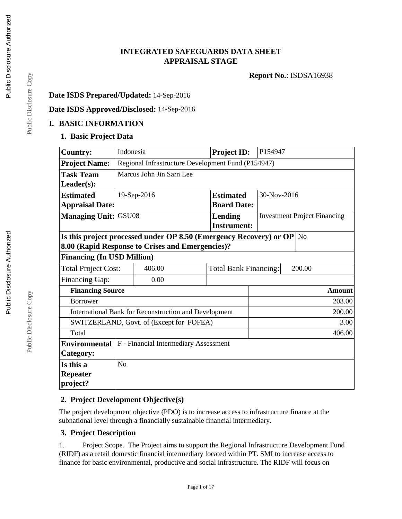# **INTEGRATED SAFEGUARDS DATA SHEET APPRAISAL STAGE**

**Report No.**: ISDSA16938

#### **Date ISDS Prepared/Updated:** 14-Sep-2016

#### **Date ISDS Approved/Disclosed:** 14-Sep-2016

### **I. BASIC INFORMATION**

### **1. Basic Project Data**

| <b>Country:</b>             | Indonesia                                          |                                                                       | <b>Project ID:</b>           | P154947                             |             |  |
|-----------------------------|----------------------------------------------------|-----------------------------------------------------------------------|------------------------------|-------------------------------------|-------------|--|
| <b>Project Name:</b>        | Regional Infrastructure Development Fund (P154947) |                                                                       |                              |                                     |             |  |
| <b>Task Team</b>            | Marcus John Jin Sarn Lee                           |                                                                       |                              |                                     |             |  |
| $Leader(s)$ :               |                                                    |                                                                       |                              |                                     |             |  |
| <b>Estimated</b>            | 19-Sep-2016                                        |                                                                       | <b>Estimated</b>             |                                     | 30-Nov-2016 |  |
| <b>Appraisal Date:</b>      |                                                    |                                                                       | <b>Board Date:</b>           |                                     |             |  |
| <b>Managing Unit: GSU08</b> |                                                    |                                                                       | Lending                      | <b>Investment Project Financing</b> |             |  |
|                             |                                                    |                                                                       | <b>Instrument:</b>           |                                     |             |  |
|                             |                                                    | Is this project processed under OP 8.50 (Emergency Recovery) or OP No |                              |                                     |             |  |
|                             |                                                    | 8.00 (Rapid Response to Crises and Emergencies)?                      |                              |                                     |             |  |
|                             | <b>Financing (In USD Million)</b>                  |                                                                       |                              |                                     |             |  |
| <b>Total Project Cost:</b>  |                                                    | 406.00                                                                | <b>Total Bank Financing:</b> | 200.00                              |             |  |
| <b>Financing Gap:</b>       |                                                    | 0.00                                                                  |                              |                                     |             |  |
| <b>Financing Source</b>     | <b>Amount</b>                                      |                                                                       |                              |                                     |             |  |
| <b>Borrower</b>             |                                                    |                                                                       |                              | 203.00                              |             |  |
|                             |                                                    | International Bank for Reconstruction and Development                 |                              | 200.00                              |             |  |
|                             | 3.00<br>SWITZERLAND, Govt. of (Except for FOFEA)   |                                                                       |                              |                                     |             |  |
| Total                       | 406.00                                             |                                                                       |                              |                                     |             |  |
| <b>Environmental</b>        |                                                    | F - Financial Intermediary Assessment                                 |                              |                                     |             |  |
| Category:                   |                                                    |                                                                       |                              |                                     |             |  |
| Is this a                   | N <sub>o</sub>                                     |                                                                       |                              |                                     |             |  |
| <b>Repeater</b>             |                                                    |                                                                       |                              |                                     |             |  |
| project?                    |                                                    |                                                                       |                              |                                     |             |  |

### **2. Project Development Objective(s)**

The project development objective (PDO) is to increase access to infrastructure finance at the subnational level through a financially sustainable financial intermediary.

### **3. Project Description**

1. Project Scope. The Project aims to support the Regional Infrastructure Development Fund (RIDF) as a retail domestic financial intermediary located within PT. SMI to increase access to finance for basic environmental, productive and social infrastructure. The RIDF will focus on

Public Disclosure Copy Public Disclosure Copy

Public Disclosure Copy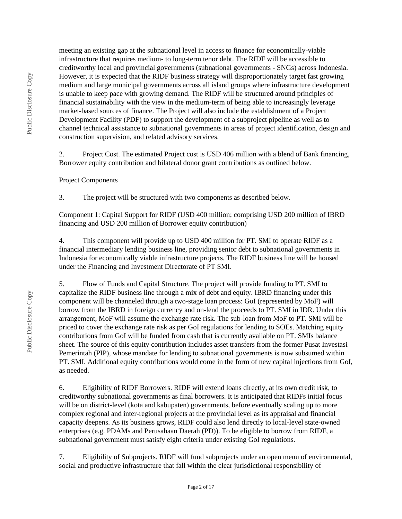meeting an existing gap at the subnational level in access to finance for economically-viable infrastructure that requires medium- to long-term tenor debt. The RIDF will be accessible to creditworthy local and provincial governments (subnational governments - SNGs) across Indonesia. However, it is expected that the RIDF business strategy will disproportionately target fast growing medium and large municipal governments across all island groups where infrastructure development is unable to keep pace with growing demand. The RIDF will be structured around principles of financial sustainability with the view in the medium-term of being able to increasingly leverage market-based sources of finance. The Project will also include the establishment of a Project Development Facility (PDF) to support the development of a subproject pipeline as well as to channel technical assistance to subnational governments in areas of project identification, design and construction supervision, and related advisory services.

2. Project Cost. The estimated Project cost is USD 406 million with a blend of Bank financing, Borrower equity contribution and bilateral donor grant contributions as outlined below.

#### Project Components

3. The project will be structured with two components as described below.

Component 1: Capital Support for RIDF (USD 400 million; comprising USD 200 million of IBRD financing and USD 200 million of Borrower equity contribution)

4. This component will provide up to USD 400 million for PT. SMI to operate RIDF as a financial intermediary lending business line, providing senior debt to subnational governments in Indonesia for economically viable infrastructure projects. The RIDF business line will be housed under the Financing and Investment Directorate of PT SMI.

5. Flow of Funds and Capital Structure. The project will provide funding to PT. SMI to capitalize the RIDF business line through a mix of debt and equity. IBRD financing under this component will be channeled through a two-stage loan process: GoI (represented by MoF) will borrow from the IBRD in foreign currency and on-lend the proceeds to PT. SMI in IDR. Under this arrangement, MoF will assume the exchange rate risk. The sub-loan from MoF to PT. SMI will be priced to cover the exchange rate risk as per GoI regulations for lending to SOEs. Matching equity contributions from GoI will be funded from cash that is currently available on PT. SMIs balance sheet. The source of this equity contribution includes asset transfers from the former Pusat Investasi Pemerintah (PIP), whose mandate for lending to subnational governments is now subsumed within PT. SMI. Additional equity contributions would come in the form of new capital injections from GoI, as needed.

6. Eligibility of RIDF Borrowers. RIDF will extend loans directly, at its own credit risk, to creditworthy subnational governments as final borrowers. It is anticipated that RIDFs initial focus will be on district-level (kota and kabupaten) governments, before eventually scaling up to more complex regional and inter-regional projects at the provincial level as its appraisal and financial capacity deepens. As its business grows, RIDF could also lend directly to local-level state-owned enterprises (e.g. PDAMs and Perusahaan Daerah (PD)). To be eligible to borrow from RIDF, a subnational government must satisfy eight criteria under existing GoI regulations.

7. Eligibility of Subprojects. RIDF will fund subprojects under an open menu of environmental, social and productive infrastructure that fall within the clear jurisdictional responsibility of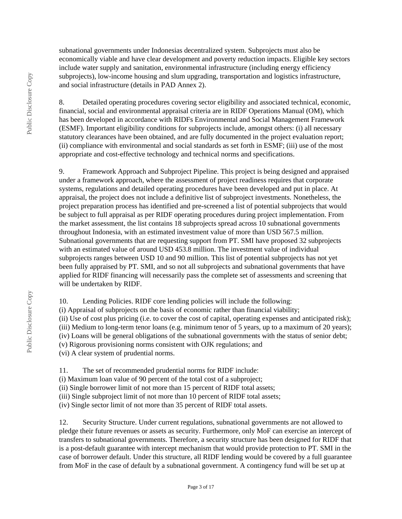subnational governments under Indonesias decentralized system. Subprojects must also be economically viable and have clear development and poverty reduction impacts. Eligible key sectors include water supply and sanitation, environmental infrastructure (including energy efficiency subprojects), low-income housing and slum upgrading, transportation and logistics infrastructure, and social infrastructure (details in PAD Annex 2).

8. Detailed operating procedures covering sector eligibility and associated technical, economic, financial, social and environmental appraisal criteria are in RIDF Operations Manual (OM), which has been developed in accordance with RIDFs Environmental and Social Management Framework (ESMF). Important eligibility conditions for subprojects include, amongst others: (i) all necessary statutory clearances have been obtained, and are fully documented in the project evaluation report; (ii) compliance with environmental and social standards as set forth in ESMF; (iii) use of the most appropriate and cost-effective technology and technical norms and specifications.

9. Framework Approach and Subproject Pipeline. This project is being designed and appraised under a framework approach, where the assessment of project readiness requires that corporate systems, regulations and detailed operating procedures have been developed and put in place. At appraisal, the project does not include a definitive list of subproject investments. Nonetheless, the project preparation process has identified and pre-screened a list of potential subprojects that would be subject to full appraisal as per RIDF operating procedures during project implementation. From the market assessment, the list contains 18 subprojects spread across 10 subnational governments throughout Indonesia, with an estimated investment value of more than USD 567.5 million. Subnational governments that are requesting support from PT. SMI have proposed 32 subprojects with an estimated value of around USD 453.8 million. The investment value of individual subprojects ranges between USD 10 and 90 million. This list of potential subprojects has not yet been fully appraised by PT. SMI, and so not all subprojects and subnational governments that have applied for RIDF financing will necessarily pass the complete set of assessments and screening that will be undertaken by RIDF.

10. Lending Policies. RIDF core lending policies will include the following:

(i) Appraisal of subprojects on the basis of economic rather than financial viability;

(ii) Use of cost plus pricing (i.e. to cover the cost of capital, operating expenses and anticipated risk);

(iii) Medium to long-term tenor loans (e.g. minimum tenor of 5 years, up to a maximum of 20 years);

(iv) Loans will be general obligations of the subnational governments with the status of senior debt;

(v) Rigorous provisioning norms consistent with OJK regulations; and

(vi) A clear system of prudential norms.

11. The set of recommended prudential norms for RIDF include:

(i) Maximum loan value of 90 percent of the total cost of a subproject;

(ii) Single borrower limit of not more than 15 percent of RIDF total assets;

(iii) Single subproject limit of not more than 10 percent of RIDF total assets;

(iv) Single sector limit of not more than 35 percent of RIDF total assets.

12. Security Structure. Under current regulations, subnational governments are not allowed to pledge their future revenues or assets as security. Furthermore, only MoF can exercise an intercept of transfers to subnational governments. Therefore, a security structure has been designed for RIDF that is a post-default guarantee with intercept mechanism that would provide protection to PT. SMI in the case of borrower default. Under this structure, all RIDF lending would be covered by a full guarantee from MoF in the case of default by a subnational government. A contingency fund will be set up at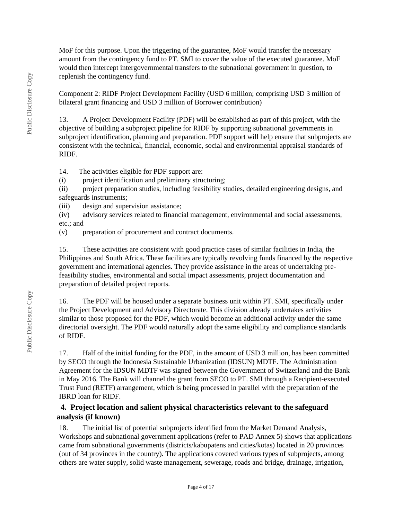MoF for this purpose. Upon the triggering of the guarantee, MoF would transfer the necessary amount from the contingency fund to PT. SMI to cover the value of the executed guarantee. MoF would then intercept intergovernmental transfers to the subnational government in question, to replenish the contingency fund.

Component 2: RIDF Project Development Facility (USD 6 million; comprising USD 3 million of bilateral grant financing and USD 3 million of Borrower contribution)

13. A Project Development Facility (PDF) will be established as part of this project, with the objective of building a subproject pipeline for RIDF by supporting subnational governments in subproject identification, planning and preparation. PDF support will help ensure that subprojects are consistent with the technical, financial, economic, social and environmental appraisal standards of RIDF.

14. The activities eligible for PDF support are:

(i) project identification and preliminary structuring;

(ii) project preparation studies, including feasibility studies, detailed engineering designs, and safeguards instruments;

(iii) design and supervision assistance;

(iv) advisory services related to financial management, environmental and social assessments, etc.; and

(v) preparation of procurement and contract documents.

15. These activities are consistent with good practice cases of similar facilities in India, the Philippines and South Africa. These facilities are typically revolving funds financed by the respective government and international agencies. They provide assistance in the areas of undertaking prefeasibility studies, environmental and social impact assessments, project documentation and preparation of detailed project reports.

16. The PDF will be housed under a separate business unit within PT. SMI, specifically under the Project Development and Advisory Directorate. This division already undertakes activities similar to those proposed for the PDF, which would become an additional activity under the same directorial oversight. The PDF would naturally adopt the same eligibility and compliance standards of RIDF.

17. Half of the initial funding for the PDF, in the amount of USD 3 million, has been committed by SECO through the Indonesia Sustainable Urbanization (IDSUN) MDTF. The Administration Agreement for the IDSUN MDTF was signed between the Government of Switzerland and the Bank in May 2016. The Bank will channel the grant from SECO to PT. SMI through a Recipient-executed Trust Fund (RETF) arrangement, which is being processed in parallel with the preparation of the IBRD loan for RIDF.

# **4. Project location and salient physical characteristics relevant to the safeguard analysis (if known)**

18. The initial list of potential subprojects identified from the Market Demand Analysis, Workshops and subnational government applications (refer to PAD Annex 5) shows that applications came from subnational governments (districts/kabupatens and cities/kotas) located in 20 provinces (out of 34 provinces in the country). The applications covered various types of subprojects, among others are water supply, solid waste management, sewerage, roads and bridge, drainage, irrigation,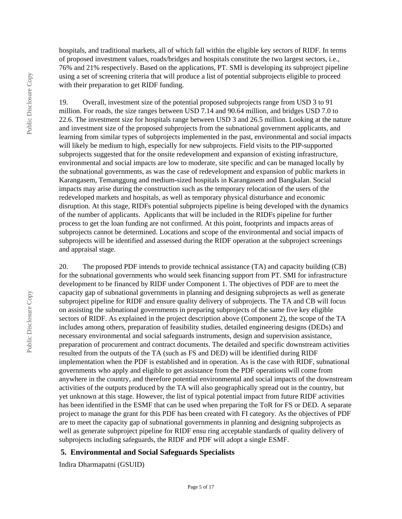hospitals, and traditional markets, all of which fall within the eligible key sectors of RIDF. In terms of proposed investment values, roads/bridges and hospitals constitute the two largest sectors, i.e., 76% and 21% respectively. Based on the applications, PT. SMI is developing its subproject pipeline using a set of screening criteria that will produce a list of potential subprojects eligible to proceed with their preparation to get RIDF funding.

19. Overall, investment size of the potential proposed subprojects range from USD 3 to 91 million. For roads, the size ranges between USD 7.14 and 90.64 million, and bridges USD 7.0 to 22.6. The investment size for hospitals range between USD 3 and 26.5 million. Looking at the nature and investment size of the proposed subprojects from the subnational government applicants, and learning from similar types of subprojects implemented in the past, environmental and social impacts will likely be medium to high, especially for new subprojects. Field visits to the PIP-supported subprojects suggested that for the onsite redevelopment and expansion of existing infrastructure, environmental and social impacts are low to moderate, site specific and can be managed locally by the subnational governments, as was the case of redevelopment and expansion of public markets in Karangasem, Temanggung and medium-sized hospitals in Karangasem and Bangkalan. Social impacts may arise during the construction such as the temporary relocation of the users of the redeveloped markets and hospitals, as well as temporary physical disturbance and economic disruption. At this stage, RIDFs potential subprojects pipeline is being developed with the dynamics of the number of applicants. Applicants that will be included in the RIDFs pipeline for further process to get the loan funding are not confirmed. At this point, footprints and impacts areas of subprojects cannot be determined. Locations and scope of the environmental and social impacts of subprojects will be identified and assessed during the RIDF operation at the subproject screenings and appraisal stage.

20. The proposed PDF intends to provide technical assistance (TA) and capacity building (CB) for the subnational governments who would seek financing support from PT. SMI for infrastructure development to be financed by RIDF under Component 1. The objectives of PDF are to meet the capacity gap of subnational governments in planning and designing subprojects as well as generate subproject pipeline for RIDF and ensure quality delivery of subprojects. The TA and CB will focus on assisting the subnational governments in preparing subprojects of the same five key eligible sectors of RIDF. As explained in the project description above (Component 2), the scope of the TA includes among others, preparation of feasibility studies, detailed engineering designs (DEDs) and necessary environmental and social safeguards instruments, design and supervision assistance, preparation of procurement and contract documents. The detailed and specific downstream activities resulted from the outputs of the TA (such as FS and DED) will be identified during RIDF implementation when the PDF is established and in operation. As is the case with RIDF, subnational governments who apply and eligible to get assistance from the PDF operations will come from anywhere in the country, and therefore potential environmental and social impacts of the downstream activities of the outputs produced by the TA will also geographically spread out in the country, but yet unknown at this stage. However, the list of typical potential impact from future RIDF activities has been identified in the ESMF that can be used when preparing the ToR for FS or DED. A separate project to manage the grant for this PDF has been created with FI category. As the objectives of PDF are to meet the capacity gap of subnational governments in planning and designing subprojects as well as generate subproject pipeline for RIDF ensu ring acceptable standards of quality delivery of subprojects including safeguards, the RIDF and PDF will adopt a single ESMF.

#### **5. Environmental and Social Safeguards Specialists**

Indira Dharmapatni (GSUID)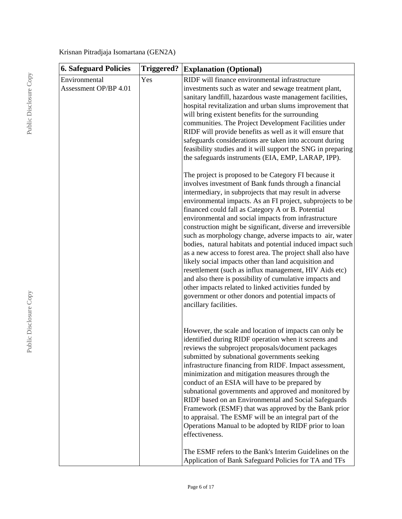Krisnan Pitradjaja Isomartana (GEN2A)

| <b>6. Safeguard Policies</b>           | <b>Triggered?</b> | <b>Explanation (Optional)</b>                                                                                                                                                                                                                                                                                                                                                                                                                                                                                                                                                                                                                                                                                                                                                                                                                                                                                                                                                                                                                                                                                                                                                                                                                                                                                                                                                                                                                                                                                                    |
|----------------------------------------|-------------------|----------------------------------------------------------------------------------------------------------------------------------------------------------------------------------------------------------------------------------------------------------------------------------------------------------------------------------------------------------------------------------------------------------------------------------------------------------------------------------------------------------------------------------------------------------------------------------------------------------------------------------------------------------------------------------------------------------------------------------------------------------------------------------------------------------------------------------------------------------------------------------------------------------------------------------------------------------------------------------------------------------------------------------------------------------------------------------------------------------------------------------------------------------------------------------------------------------------------------------------------------------------------------------------------------------------------------------------------------------------------------------------------------------------------------------------------------------------------------------------------------------------------------------|
| Environmental<br>Assessment OP/BP 4.01 | Yes               | RIDF will finance environmental infrastructure<br>investments such as water and sewage treatment plant,<br>sanitary landfill, hazardous waste management facilities,<br>hospital revitalization and urban slums improvement that<br>will bring existent benefits for the surrounding<br>communities. The Project Development Facilities under<br>RIDF will provide benefits as well as it will ensure that<br>safeguards considerations are taken into account during<br>feasibility studies and it will support the SNG in preparing<br>the safeguards instruments (EIA, EMP, LARAP, IPP).<br>The project is proposed to be Category FI because it<br>involves investment of Bank funds through a financial<br>intermediary, in subprojects that may result in adverse<br>environmental impacts. As an FI project, subprojects to be<br>financed could fall as Category A or B. Potential<br>environmental and social impacts from infrastructure<br>construction might be significant, diverse and irreversible<br>such as morphology change, adverse impacts to air, water<br>bodies, natural habitats and potential induced impact such<br>as a new access to forest area. The project shall also have<br>likely social impacts other than land acquisition and<br>resettlement (such as influx management, HIV Aids etc)<br>and also there is possibility of cumulative impacts and<br>other impacts related to linked activities funded by<br>government or other donors and potential impacts of<br>ancillary facilities. |
|                                        |                   | However, the scale and location of impacts can only be<br>identified during RIDF operation when it screens and<br>reviews the subproject proposals/document packages<br>submitted by subnational governments seeking<br>infrastructure financing from RIDF. Impact assessment,<br>minimization and mitigation measures through the<br>conduct of an ESIA will have to be prepared by<br>subnational governments and approved and monitored by<br>RIDF based on an Environmental and Social Safeguards<br>Framework (ESMF) that was approved by the Bank prior<br>to appraisal. The ESMF will be an integral part of the<br>Operations Manual to be adopted by RIDF prior to loan<br>effectiveness.<br>The ESMF refers to the Bank's Interim Guidelines on the                                                                                                                                                                                                                                                                                                                                                                                                                                                                                                                                                                                                                                                                                                                                                                    |
|                                        |                   | Application of Bank Safeguard Policies for TA and TFs                                                                                                                                                                                                                                                                                                                                                                                                                                                                                                                                                                                                                                                                                                                                                                                                                                                                                                                                                                                                                                                                                                                                                                                                                                                                                                                                                                                                                                                                            |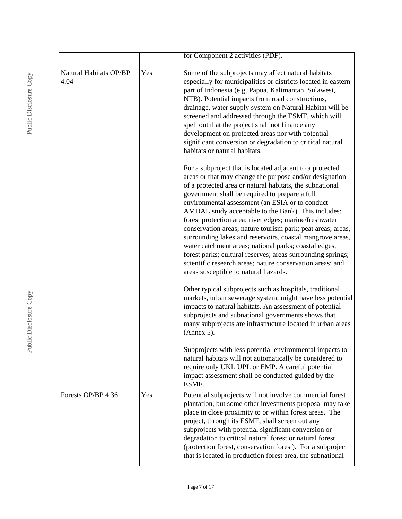|                                |     | for Component 2 activities (PDF).                                                                                                                                                                                                                                                                                                                                                                                                                                                                                                                                                                                                                                                                                                                               |
|--------------------------------|-----|-----------------------------------------------------------------------------------------------------------------------------------------------------------------------------------------------------------------------------------------------------------------------------------------------------------------------------------------------------------------------------------------------------------------------------------------------------------------------------------------------------------------------------------------------------------------------------------------------------------------------------------------------------------------------------------------------------------------------------------------------------------------|
| Natural Habitats OP/BP<br>4.04 | Yes | Some of the subprojects may affect natural habitats<br>especially for municipalities or districts located in eastern<br>part of Indonesia (e.g. Papua, Kalimantan, Sulawesi,<br>NTB). Potential impacts from road constructions,<br>drainage, water supply system on Natural Habitat will be<br>screened and addressed through the ESMF, which will<br>spell out that the project shall not finance any<br>development on protected areas nor with potential<br>significant conversion or degradation to critical natural<br>habitats or natural habitats.                                                                                                                                                                                                      |
|                                |     | For a subproject that is located adjacent to a protected<br>areas or that may change the purpose and/or designation<br>of a protected area or natural habitats, the subnational<br>government shall be required to prepare a full<br>environmental assessment (an ESIA or to conduct<br>AMDAL study acceptable to the Bank). This includes:<br>forest protection area; river edges; marine/freshwater<br>conservation areas; nature tourism park; peat areas; areas,<br>surrounding lakes and reservoirs, coastal mangrove areas,<br>water catchment areas; national parks; coastal edges,<br>forest parks; cultural reserves; areas surrounding springs;<br>scientific research areas; nature conservation areas; and<br>areas susceptible to natural hazards. |
|                                |     | Other typical subprojects such as hospitals, traditional<br>markets, urban sewerage system, might have less potential<br>impacts to natural habitats. An assessment of potential<br>subprojects and subnational governments shows that<br>many subprojects are infrastructure located in urban areas<br>(Annex 5).                                                                                                                                                                                                                                                                                                                                                                                                                                              |
|                                |     | Subprojects with less potential environmental impacts to<br>natural habitats will not automatically be considered to<br>require only UKL UPL or EMP. A careful potential<br>impact assessment shall be conducted guided by the<br>ESMF.                                                                                                                                                                                                                                                                                                                                                                                                                                                                                                                         |
| Forests OP/BP 4.36             | Yes | Potential subprojects will not involve commercial forest<br>plantation, but some other investments proposal may take<br>place in close proximity to or within forest areas. The<br>project, through its ESMF, shall screen out any<br>subprojects with potential significant conversion or<br>degradation to critical natural forest or natural forest<br>(protection forest, conservation forest). For a subproject<br>that is located in production forest area, the subnational                                                                                                                                                                                                                                                                              |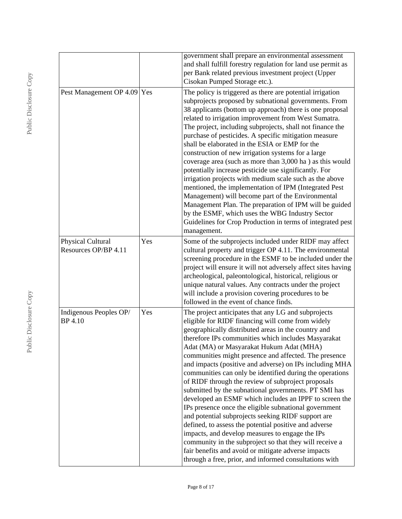|                                           |     | government shall prepare an environmental assessment<br>and shall fulfill forestry regulation for land use permit as<br>per Bank related previous investment project (Upper<br>Cisokan Pumped Storage etc.).                                                                                                                                                                                                                                                                                                                                                                                                                                                                                                                                                                                                                                                                                                                                                                                                                      |
|-------------------------------------------|-----|-----------------------------------------------------------------------------------------------------------------------------------------------------------------------------------------------------------------------------------------------------------------------------------------------------------------------------------------------------------------------------------------------------------------------------------------------------------------------------------------------------------------------------------------------------------------------------------------------------------------------------------------------------------------------------------------------------------------------------------------------------------------------------------------------------------------------------------------------------------------------------------------------------------------------------------------------------------------------------------------------------------------------------------|
| Pest Management OP 4.09 Yes               |     | The policy is triggered as there are potential irrigation<br>subprojects proposed by subnational governments. From<br>38 applicants (bottom up approach) there is one proposal<br>related to irrigation improvement from West Sumatra.<br>The project, including subprojects, shall not finance the<br>purchase of pesticides. A specific mitigation measure<br>shall be elaborated in the ESIA or EMP for the<br>construction of new irrigation systems for a large<br>coverage area (such as more than 3,000 ha) as this would<br>potentially increase pesticide use significantly. For<br>irrigation projects with medium scale such as the above<br>mentioned, the implementation of IPM (Integrated Pest<br>Management) will become part of the Environmental<br>Management Plan. The preparation of IPM will be guided<br>by the ESMF, which uses the WBG Industry Sector<br>Guidelines for Crop Production in terms of integrated pest<br>management.                                                                      |
| Physical Cultural<br>Resources OP/BP 4.11 | Yes | Some of the subprojects included under RIDF may affect<br>cultural property and trigger OP 4.11. The environmental<br>screening procedure in the ESMF to be included under the<br>project will ensure it will not adversely affect sites having<br>archeological, paleontological, historical, religious or<br>unique natural values. Any contracts under the project<br>will include a provision covering procedures to be<br>followed in the event of chance finds.                                                                                                                                                                                                                                                                                                                                                                                                                                                                                                                                                             |
| Indigenous Peoples OP/<br><b>BP</b> 4.10  | Yes | The project anticipates that any LG and subprojects<br>eligible for RIDF financing will come from widely<br>geographically distributed areas in the country and<br>therefore IPs communities which includes Masyarakat<br>Adat (MA) or Masyarakat Hukum Adat (MHA)<br>communities might presence and affected. The presence<br>and impacts (positive and adverse) on IPs including MHA<br>communities can only be identified during the operations<br>of RIDF through the review of subproject proposals<br>submitted by the subnational governments. PT SMI has<br>developed an ESMF which includes an IPPF to screen the<br>IPs presence once the eligible subnational government<br>and potential subprojects seeking RIDF support are<br>defined, to assess the potential positive and adverse<br>impacts, and develop measures to engage the IPs<br>community in the subproject so that they will receive a<br>fair benefits and avoid or mitigate adverse impacts<br>through a free, prior, and informed consultations with |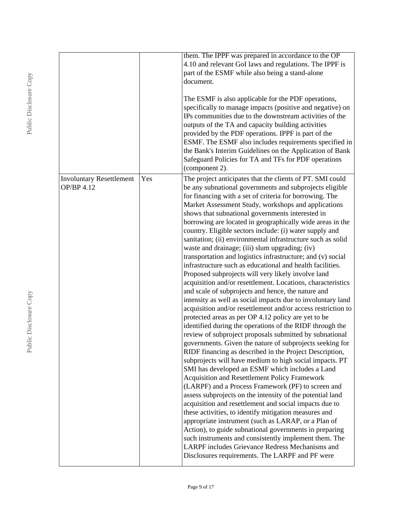|                                               |     | them. The IPPF was prepared in accordance to the OP<br>4.10 and relevant GoI laws and regulations. The IPPF is<br>part of the ESMF while also being a stand-alone<br>document.                                                                                                                                                                                                                                                                                                                                                                                                                                                                                                                                                                                                                                                                                                                                                                                                                                                                                                                                                                                                                                                                                                                                                                                                                                                                                                                                                                                                                                                                                                                                                                                                                                                                                                                                                                                      |
|-----------------------------------------------|-----|---------------------------------------------------------------------------------------------------------------------------------------------------------------------------------------------------------------------------------------------------------------------------------------------------------------------------------------------------------------------------------------------------------------------------------------------------------------------------------------------------------------------------------------------------------------------------------------------------------------------------------------------------------------------------------------------------------------------------------------------------------------------------------------------------------------------------------------------------------------------------------------------------------------------------------------------------------------------------------------------------------------------------------------------------------------------------------------------------------------------------------------------------------------------------------------------------------------------------------------------------------------------------------------------------------------------------------------------------------------------------------------------------------------------------------------------------------------------------------------------------------------------------------------------------------------------------------------------------------------------------------------------------------------------------------------------------------------------------------------------------------------------------------------------------------------------------------------------------------------------------------------------------------------------------------------------------------------------|
|                                               |     | The ESMF is also applicable for the PDF operations,<br>specifically to manage impacts (positive and negative) on<br>IPs communities due to the downstream activities of the<br>outputs of the TA and capacity building activities<br>provided by the PDF operations. IPPF is part of the<br>ESMF. The ESMF also includes requirements specified in<br>the Bank's Interim Guidelines on the Application of Bank<br>Safeguard Policies for TA and TFs for PDF operations<br>(component 2).                                                                                                                                                                                                                                                                                                                                                                                                                                                                                                                                                                                                                                                                                                                                                                                                                                                                                                                                                                                                                                                                                                                                                                                                                                                                                                                                                                                                                                                                            |
| <b>Involuntary Resettlement</b><br>OP/BP 4.12 | Yes | The project anticipates that the clients of PT. SMI could<br>be any subnational governments and subprojects eligible<br>for financing with a set of criteria for borrowing. The<br>Market Assessment Study, workshops and applications<br>shows that subnational governments interested in<br>borrowing are located in geographically wide areas in the<br>country. Eligible sectors include: (i) water supply and<br>sanitation; (ii) environmental infrastructure such as solid<br>waste and drainage; (iii) slum upgrading; (iv)<br>transportation and logistics infrastructure; and (v) social<br>infrastructure such as educational and health facilities.<br>Proposed subprojects will very likely involve land<br>acquisition and/or resettlement. Locations, characteristics<br>and scale of subprojects and hence, the nature and<br>intensity as well as social impacts due to involuntary land<br>acquisition and/or resettlement and/or access restriction to<br>protected areas as per OP 4.12 policy are yet to be<br>identified during the operations of the RIDF through the<br>review of subproject proposals submitted by subnational<br>governments. Given the nature of subprojects seeking for<br>RIDF financing as described in the Project Description,<br>subprojects will have medium to high social impacts. PT<br>SMI has developed an ESMF which includes a Land<br>Acquisition and Resettlement Policy Framework<br>(LARPF) and a Process Framework (PF) to screen and<br>assess subprojects on the intensity of the potential land<br>acquisition and resettlement and social impacts due to<br>these activities, to identify mitigation measures and<br>appropriate instrument (such as LARAP, or a Plan of<br>Action), to guide subnational governments in preparing<br>such instruments and consistently implement them. The<br>LARPF includes Grievance Redress Mechanisms and<br>Disclosures requirements. The LARPF and PF were |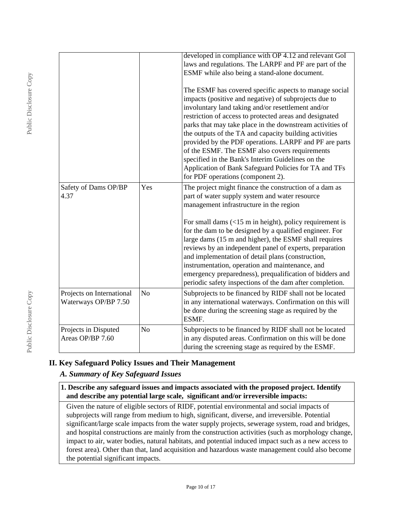|                                                   |                | developed in compliance with OP 4.12 and relevant GoI<br>laws and regulations. The LARPF and PF are part of the<br>ESMF while also being a stand-alone document.                                                                                                                                                                                                                                                                                                                                                                                                                                                       |
|---------------------------------------------------|----------------|------------------------------------------------------------------------------------------------------------------------------------------------------------------------------------------------------------------------------------------------------------------------------------------------------------------------------------------------------------------------------------------------------------------------------------------------------------------------------------------------------------------------------------------------------------------------------------------------------------------------|
|                                                   |                | The ESMF has covered specific aspects to manage social<br>impacts (positive and negative) of subprojects due to<br>involuntary land taking and/or resettlement and/or<br>restriction of access to protected areas and designated<br>parks that may take place in the downstream activities of<br>the outputs of the TA and capacity building activities<br>provided by the PDF operations. LARPF and PF are parts<br>of the ESMF. The ESMF also covers requirements<br>specified in the Bank's Interim Guidelines on the<br>Application of Bank Safeguard Policies for TA and TFs<br>for PDF operations (component 2). |
| Safety of Dams OP/BP<br>4.37                      | Yes            | The project might finance the construction of a dam as<br>part of water supply system and water resource<br>management infrastructure in the region                                                                                                                                                                                                                                                                                                                                                                                                                                                                    |
|                                                   |                | For small dams $\left($ < 15 m in height), policy requirement is<br>for the dam to be designed by a qualified engineer. For<br>large dams (15 m and higher), the ESMF shall requires<br>reviews by an independent panel of experts, preparation<br>and implementation of detail plans (construction,<br>instrumentation, operation and maintenance, and<br>emergency preparedness), prequalification of bidders and<br>periodic safety inspections of the dam after completion.                                                                                                                                        |
| Projects on International<br>Waterways OP/BP 7.50 | N <sub>o</sub> | Subprojects to be financed by RIDF shall not be located<br>in any international waterways. Confirmation on this will<br>be done during the screening stage as required by the<br>ESMF.                                                                                                                                                                                                                                                                                                                                                                                                                                 |
| Projects in Disputed<br>Areas OP/BP 7.60          | No             | Subprojects to be financed by RIDF shall not be located<br>in any disputed areas. Confirmation on this will be done<br>during the screening stage as required by the ESMF.                                                                                                                                                                                                                                                                                                                                                                                                                                             |

# **II. Key Safeguard Policy Issues and Their Management**

# *A. Summary of Key Safeguard Issues*

### **1. Describe any safeguard issues and impacts associated with the proposed project. Identify and describe any potential large scale, significant and/or irreversible impacts:**

Given the nature of eligible sectors of RIDF, potential environmental and social impacts of subprojects will range from medium to high, significant, diverse, and irreversible. Potential significant/large scale impacts from the water supply projects, sewerage system, road and bridges, and hospital constructions are mainly from the construction activities (such as morphology change, impact to air, water bodies, natural habitats, and potential induced impact such as a new access to forest area). Other than that, land acquisition and hazardous waste management could also become the potential significant impacts.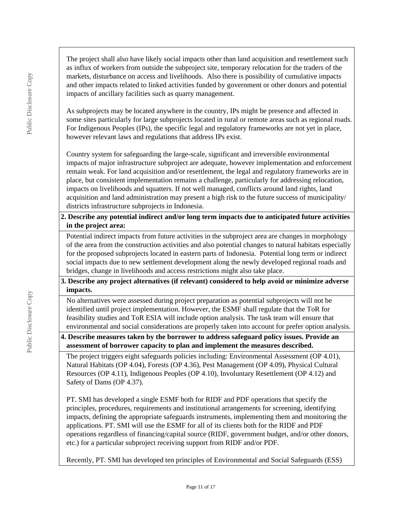The project shall also have likely social impacts other than land acquisition and resettlement such as influx of workers from outside the subproject site, temporary relocation for the traders of the markets, disturbance on access and livelihoods. Also there is possibility of cumulative impacts and other impacts related to linked activities funded by government or other donors and potential impacts of ancillary facilities such as quarry management.

As subprojects may be located anywhere in the country, IPs might be presence and affected in some sites particularly for large subprojects located in rural or remote areas such as regional roads. For Indigenous Peoples (IPs), the specific legal and regulatory frameworks are not yet in place, however relevant laws and regulations that address IPs exist.

Country system for safeguarding the large-scale, significant and irreversible environmental impacts of major infrastructure subproject are adequate, however implementation and enforcement remain weak. For land acquisition and/or resettlement, the legal and regulatory frameworks are in place, but consistent implementation remains a challenge, particularly for addressing relocation, impacts on livelihoods and squatters. If not well managed, conflicts around land rights, land acquisition and land administration may present a high risk to the future success of municipality/ districts infrastructure subprojects in Indonesia.

**2. Describe any potential indirect and/or long term impacts due to anticipated future activities in the project area:**

Potential indirect impacts from future activities in the subproject area are changes in morphology of the area from the construction activities and also potential changes to natural habitats especially for the proposed subprojects located in eastern parts of Indonesia. Potential long term or indirect social impacts due to new settlement development along the newly developed regional roads and bridges, change in livelihoods and access restrictions might also take place.

### **3. Describe any project alternatives (if relevant) considered to help avoid or minimize adverse impacts.**

No alternatives were assessed during project preparation as potential subprojects will not be identified until project implementation. However, the ESMF shall regulate that the ToR for feasibility studies and ToR ESIA will include option analysis. The task team will ensure that environmental and social considerations are properly taken into account for prefer option analysis.

# **4. Describe measures taken by the borrower to address safeguard policy issues. Provide an assessment of borrower capacity to plan and implement the measures described.**

The project triggers eight safeguards policies including: Environmental Assessment (OP 4.01), Natural Habitats (OP 4.04), Forests (OP 4.36), Pest Management (OP 4.09), Physical Cultural Resources (OP 4.11), Indigenous Peoples (OP 4.10), Involuntary Resettlement (OP 4.12) and Safety of Dams (OP 4.37).

PT. SMI has developed a single ESMF both for RIDF and PDF operations that specify the principles, procedures, requirements and institutional arrangements for screening, identifying impacts, defining the appropriate safeguards instruments, implementing them and monitoring the applications. PT. SMI will use the ESMF for all of its clients both for the RIDF and PDF operations regardless of financing/capital source (RIDF, government budget, and/or other donors, etc.) for a particular subproject receiving support from RIDF and/or PDF.

Recently, PT. SMI has developed ten principles of Environmental and Social Safeguards (ESS)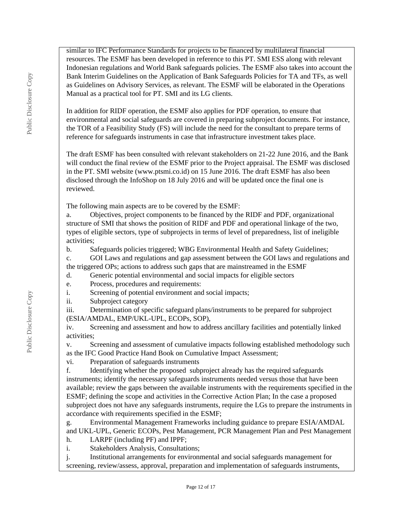similar to IFC Performance Standards for projects to be financed by multilateral financial resources. The ESMF has been developed in reference to this PT. SMI ESS along with relevant Indonesian regulations and World Bank safeguards policies. The ESMF also takes into account the Bank Interim Guidelines on the Application of Bank Safeguards Policies for TA and TFs, as well as Guidelines on Advisory Services, as relevant. The ESMF will be elaborated in the Operations Manual as a practical tool for PT. SMI and its LG clients.

In addition for RIDF operation, the ESMF also applies for PDF operation, to ensure that environmental and social safeguards are covered in preparing subproject documents. For instance, the TOR of a Feasibility Study (FS) will include the need for the consultant to prepare terms of reference for safeguards instruments in case that infrastructure investment takes place.

The draft ESMF has been consulted with relevant stakeholders on 21-22 June 2016, and the Bank will conduct the final review of the ESMF prior to the Project appraisal. The ESMF was disclosed in the PT. SMI website (www.ptsmi.co.id) on 15 June 2016. The draft ESMF has also been disclosed through the InfoShop on 18 July 2016 and will be updated once the final one is reviewed.

The following main aspects are to be covered by the ESMF:

a. Objectives, project components to be financed by the RIDF and PDF, organizational structure of SMI that shows the position of RIDF and PDF and operational linkage of the two, types of eligible sectors, type of subprojects in terms of level of preparedness, list of ineligible activities;

b. Safeguards policies triggered; WBG Environmental Health and Safety Guidelines; c. GOI Laws and regulations and gap assessment between the GOI laws and regulations and the triggered OPs; actions to address such gaps that are mainstreamed in the ESMF

d. Generic potential environmental and social impacts for eligible sectors

e. Process, procedures and requirements:

i. Screening of potential environment and social impacts;

ii. Subproject category

iii. Determination of specific safeguard plans/instruments to be prepared for subproject (ESIA/AMDAL, EMP/UKL-UPL, ECOPs, SOP),

iv. Screening and assessment and how to address ancillary facilities and potentially linked activities;

v. Screening and assessment of cumulative impacts following established methodology such as the IFC Good Practice Hand Book on Cumulative Impact Assessment;

vi. Preparation of safeguards instruments

f. Identifying whether the proposed subproject already has the required safeguards instruments; identify the necessary safeguards instruments needed versus those that have been available; review the gaps between the available instruments with the requirements specified in the ESMF; defining the scope and activities in the Corrective Action Plan; In the case a proposed subproject does not have any safeguards instruments, require the LGs to prepare the instruments in accordance with requirements specified in the ESMF;

g. Environmental Management Frameworks including guidance to prepare ESIA/AMDAL and UKL-UPL, Generic ECOPs, Pest Management, PCR Management Plan and Pest Management h. LARPF (including PF) and IPPF;

i. Stakeholders Analysis, Consultations;

j. Institutional arrangements for environmental and social safeguards management for screening, review/assess, approval, preparation and implementation of safeguards instruments,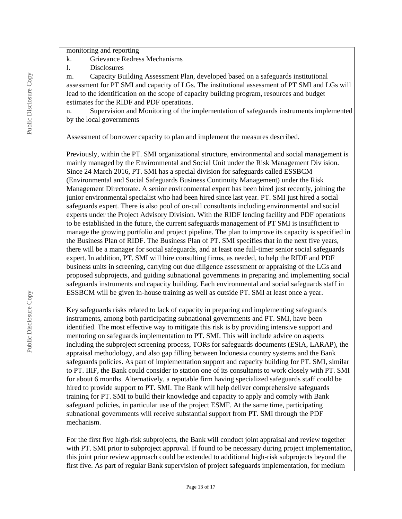monitoring and reporting

- k. Grievance Redress Mechanisms
- l. Disclosures

m. Capacity Building Assessment Plan, developed based on a safeguards institutional assessment for PT SMI and capacity of LGs. The institutional assessment of PT SMI and LGs will lead to the identification on the scope of capacity building program, resources and budget estimates for the RIDF and PDF operations.

n. Supervision and Monitoring of the implementation of safeguards instruments implemented by the local governments

Assessment of borrower capacity to plan and implement the measures described.

Previously, within the PT. SMI organizational structure, environmental and social management is mainly managed by the Environmental and Social Unit under the Risk Management Div ision. Since 24 March 2016, PT. SMI has a special division for safeguards called ESSBCM (Environmental and Social Safeguards Business Continuity Management) under the Risk Management Directorate. A senior environmental expert has been hired just recently, joining the junior environmental specialist who had been hired since last year. PT. SMI just hired a social safeguards expert. There is also pool of on-call consultants including environmental and social experts under the Project Advisory Division. With the RIDF lending facility and PDF operations to be established in the future, the current safeguards management of PT SMI is insufficient to manage the growing portfolio and project pipeline. The plan to improve its capacity is specified in the Business Plan of RIDF. The Business Plan of PT. SMI specifies that in the next five years, there will be a manager for social safeguards, and at least one full-timer senior social safeguards expert. In addition, PT. SMI will hire consulting firms, as needed, to help the RIDF and PDF business units in screening, carrying out due diligence assessment or appraising of the LGs and proposed subprojects, and guiding subnational governments in preparing and implementing social safeguards instruments and capacity building. Each environmental and social safeguards staff in ESSBCM will be given in-house training as well as outside PT. SMI at least once a year.

Key safeguards risks related to lack of capacity in preparing and implementing safeguards instruments, among both participating subnational governments and PT. SMI, have been identified. The most effective way to mitigate this risk is by providing intensive support and mentoring on safeguards implementation to PT. SMI. This will include advice on aspects including the subproject screening process, TORs for safeguards documents (ESIA, LARAP), the appraisal methodology, and also gap filling between Indonesia country systems and the Bank safeguards policies. As part of implementation support and capacity building for PT. SMI, similar to PT. IIIF, the Bank could consider to station one of its consultants to work closely with PT. SMI for about 6 months. Alternatively, a reputable firm having specialized safeguards staff could be hired to provide support to PT. SMI. The Bank will help deliver comprehensive safeguards training for PT. SMI to build their knowledge and capacity to apply and comply with Bank safeguard policies, in particular use of the project ESMF. At the same time, participating subnational governments will receive substantial support from PT. SMI through the PDF mechanism.

For the first five high-risk subprojects, the Bank will conduct joint appraisal and review together with PT. SMI prior to subproject approval. If found to be necessary during project implementation, this joint prior review approach could be extended to additional high-risk subprojects beyond the first five. As part of regular Bank supervision of project safeguards implementation, for medium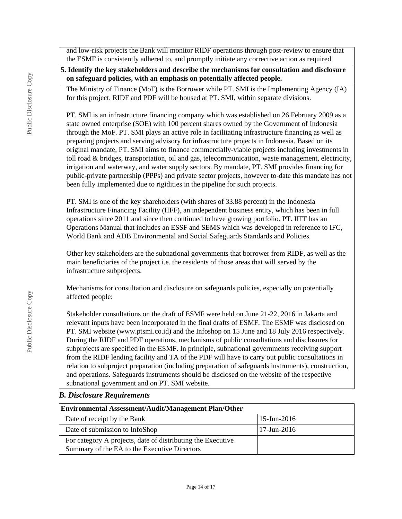and low-risk projects the Bank will monitor RIDF operations through post-review to ensure that the ESMF is consistently adhered to, and promptly initiate any corrective action as required

**5. Identify the key stakeholders and describe the mechanisms for consultation and disclosure on safeguard policies, with an emphasis on potentially affected people.**

The Ministry of Finance (MoF) is the Borrower while PT. SMI is the Implementing Agency (IA) for this project. RIDF and PDF will be housed at PT. SMI, within separate divisions.

PT. SMI is an infrastructure financing company which was established on 26 February 2009 as a state owned enterprise (SOE) with 100 percent shares owned by the Government of Indonesia through the MoF. PT. SMI plays an active role in facilitating infrastructure financing as well as preparing projects and serving advisory for infrastructure projects in Indonesia. Based on its original mandate, PT. SMI aims to finance commercially-viable projects including investments in toll road & bridges, transportation, oil and gas, telecommunication, waste management, electricity, irrigation and waterway, and water supply sectors. By mandate, PT. SMI provides financing for public-private partnership (PPPs) and private sector projects, however to-date this mandate has not been fully implemented due to rigidities in the pipeline for such projects.

PT. SMI is one of the key shareholders (with shares of 33.88 percent) in the Indonesia Infrastructure Financing Facility (IIFF), an independent business entity, which has been in full operations since 2011 and since then continued to have growing portfolio. PT. IIFF has an Operations Manual that includes an ESSF and SEMS which was developed in reference to IFC, World Bank and ADB Environmental and Social Safeguards Standards and Policies.

Other key stakeholders are the subnational governments that borrower from RIDF, as well as the main beneficiaries of the project i.e. the residents of those areas that will served by the infrastructure subprojects.

Mechanisms for consultation and disclosure on safeguards policies, especially on potentially affected people:

Stakeholder consultations on the draft of ESMF were held on June 21-22, 2016 in Jakarta and relevant inputs have been incorporated in the final drafts of ESMF. The ESMF was disclosed on PT. SMI website (www.ptsmi.co.id) and the Infoshop on 15 June and 18 July 2016 respectively. During the RIDF and PDF operations, mechanisms of public consultations and disclosures for subprojects are specified in the ESMF. In principle, subnational governments receiving support from the RIDF lending facility and TA of the PDF will have to carry out public consultations in relation to subproject preparation (including preparation of safeguards instruments), construction, and operations. Safeguards instruments should be disclosed on the website of the respective subnational government and on PT. SMI website.

### *B. Disclosure Requirements*

| <b>Environmental Assessment/Audit/Management Plan/Other</b>                                                 |                          |  |  |  |
|-------------------------------------------------------------------------------------------------------------|--------------------------|--|--|--|
| Date of receipt by the Bank                                                                                 | $15$ -Jun-2016           |  |  |  |
| Date of submission to InfoShop                                                                              | $17 - \text{Jun} - 2016$ |  |  |  |
| For category A projects, date of distributing the Executive<br>Summary of the EA to the Executive Directors |                          |  |  |  |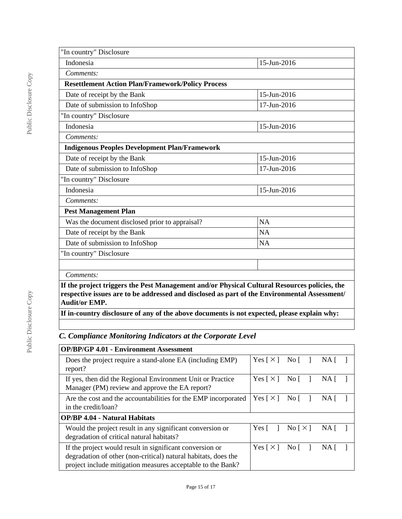| "In country" Disclosure                                                                                                                                                                                              |             |
|----------------------------------------------------------------------------------------------------------------------------------------------------------------------------------------------------------------------|-------------|
| Indonesia                                                                                                                                                                                                            | 15-Jun-2016 |
| Comments:                                                                                                                                                                                                            |             |
| <b>Resettlement Action Plan/Framework/Policy Process</b>                                                                                                                                                             |             |
| Date of receipt by the Bank                                                                                                                                                                                          | 15-Jun-2016 |
| Date of submission to InfoShop                                                                                                                                                                                       | 17-Jun-2016 |
| "In country" Disclosure                                                                                                                                                                                              |             |
| Indonesia                                                                                                                                                                                                            | 15-Jun-2016 |
| Comments:                                                                                                                                                                                                            |             |
| <b>Indigenous Peoples Development Plan/Framework</b>                                                                                                                                                                 |             |
| Date of receipt by the Bank                                                                                                                                                                                          | 15-Jun-2016 |
| Date of submission to InfoShop                                                                                                                                                                                       | 17-Jun-2016 |
| "In country" Disclosure                                                                                                                                                                                              |             |
| Indonesia                                                                                                                                                                                                            | 15-Jun-2016 |
| Comments:                                                                                                                                                                                                            |             |
| <b>Pest Management Plan</b>                                                                                                                                                                                          |             |
| Was the document disclosed prior to appraisal?                                                                                                                                                                       | <b>NA</b>   |
| Date of receipt by the Bank                                                                                                                                                                                          | NA          |
| Date of submission to InfoShop                                                                                                                                                                                       | NA          |
| "In country" Disclosure                                                                                                                                                                                              |             |
|                                                                                                                                                                                                                      |             |
| Comments:                                                                                                                                                                                                            |             |
| If the project triggers the Pest Management and/or Physical Cultural Resources policies, the<br>respective issues are to be addressed and disclosed as part of the Environmental Assessment/<br><b>Audit/or EMP.</b> |             |

**If in-country disclosure of any of the above documents is not expected, please explain why:**

*C. Compliance Monitoring Indicators at the Corporate Level*

| <b>OP/BP/GP 4.01 - Environment Assessment</b>                                                                                                                                             |                            |                                    |     |  |
|-------------------------------------------------------------------------------------------------------------------------------------------------------------------------------------------|----------------------------|------------------------------------|-----|--|
| Does the project require a stand-alone EA (including EMP)<br>report?                                                                                                                      | Yes $\lceil \times \rceil$ | Nof                                | NA  |  |
| If yes, then did the Regional Environment Unit or Practice<br>Manager (PM) review and approve the EA report?                                                                              | Yes $\lceil \times \rceil$ | No $\lceil$                        | NA. |  |
| Are the cost and the accountabilities for the EMP incorporated<br>in the credit/loan?                                                                                                     | Yes $\lceil \times \rceil$ | No $\lceil$                        | NA. |  |
| <b>OP/BP 4.04 - Natural Habitats</b>                                                                                                                                                      |                            |                                    |     |  |
| Would the project result in any significant conversion or<br>degradation of critical natural habitats?                                                                                    | $Yes \lceil$               | $\text{No}$ $\lceil \times \rceil$ | NA. |  |
| If the project would result in significant conversion or<br>degradation of other (non-critical) natural habitats, does the<br>project include mitigation measures acceptable to the Bank? | Yes $\lceil \times \rceil$ | No [                               | NA. |  |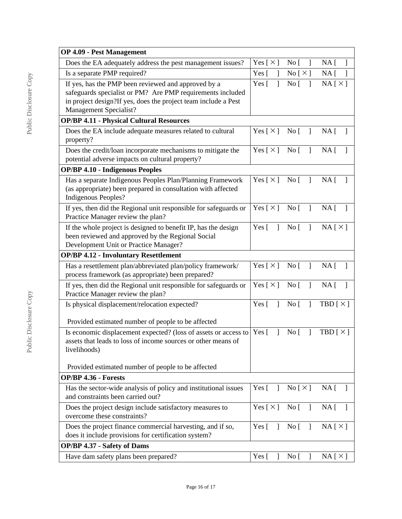| <b>OP 4.09 - Pest Management</b>                                                                                                                                                                              |                                |                                           |                                    |
|---------------------------------------------------------------------------------------------------------------------------------------------------------------------------------------------------------------|--------------------------------|-------------------------------------------|------------------------------------|
| Does the EA adequately address the pest management issues?                                                                                                                                                    | Yes [ $\times$ ]               | No [<br>1                                 | NA <sub>[</sub> ]                  |
| Is a separate PMP required?                                                                                                                                                                                   | Yes $\lceil$<br>$\overline{1}$ | No [ $\times$ ]                           | $NA$ [<br>$\overline{\phantom{a}}$ |
| If yes, has the PMP been reviewed and approved by a<br>safeguards specialist or PM? Are PMP requirements included<br>in project design?If yes, does the project team include a Pest<br>Management Specialist? | Yes $\lceil$<br>1              | No [<br>$\mathbf{I}$                      | NA[X]                              |
| <b>OP/BP 4.11 - Physical Cultural Resources</b>                                                                                                                                                               |                                |                                           |                                    |
| Does the EA include adequate measures related to cultural<br>property?                                                                                                                                        | Yes [ $\times$ ]               | No [                                      | $NA$ [ ]                           |
| Does the credit/loan incorporate mechanisms to mitigate the<br>potential adverse impacts on cultural property?                                                                                                | Yes [ $\times$ ]               | No [<br>$\mathbf{I}$                      | NA <sub>[</sub> ]<br>-1            |
| <b>OP/BP 4.10 - Indigenous Peoples</b>                                                                                                                                                                        |                                |                                           |                                    |
| Has a separate Indigenous Peoples Plan/Planning Framework<br>(as appropriate) been prepared in consultation with affected<br>Indigenous Peoples?                                                              | Yes $\lceil \times \rceil$     | $\overline{N}$ o [ ]                      | NA <sub>1</sub><br>$\mathbf{1}$    |
| If yes, then did the Regional unit responsible for safeguards or<br>Practice Manager review the plan?                                                                                                         | Yes $[\times]$ No $[\ ]$       |                                           | $NA$ [ ]                           |
| If the whole project is designed to benefit IP, has the design<br>been reviewed and approved by the Regional Social<br>Development Unit or Practice Manager?                                                  | Yes $\lceil \quad \rceil$      | $\Box$<br>$\overline{N}$ o $\overline{[}$ | NA[X]                              |
| <b>OP/BP 4.12 - Involuntary Resettlement</b>                                                                                                                                                                  |                                |                                           |                                    |
| Has a resettlement plan/abbreviated plan/policy framework/<br>process framework (as appropriate) been prepared?                                                                                               |                                | Yes $[\times]$ No $[\ ]$                  | $NA \lceil \rceil$                 |
| If yes, then did the Regional unit responsible for safeguards or<br>Practice Manager review the plan?                                                                                                         | Yes $[\times]$ No [            | $\Box$                                    | $NA$ [ ]                           |
| Is physical displacement/relocation expected?                                                                                                                                                                 | Yes $\lceil \quad \rceil$      | No [                                      | TBD $[\times]$                     |
| Provided estimated number of people to be affected                                                                                                                                                            |                                |                                           |                                    |
| Is economic displacement expected? (loss of assets or access to $\begin{bmatrix} \text{Yes} \\ \text{Yes} \end{bmatrix}$ )<br>assets that leads to loss of income sources or other means of<br>livelihoods)   |                                | No <sub>[</sub> ]<br>$\mathbf{I}$         | TBD $[X]$                          |
| Provided estimated number of people to be affected                                                                                                                                                            |                                |                                           |                                    |
| <b>OP/BP 4.36 - Forests</b>                                                                                                                                                                                   |                                |                                           |                                    |
| Has the sector-wide analysis of policy and institutional issues<br>and constraints been carried out?                                                                                                          | Yes $\lceil \quad \rceil$      | $\text{No} \lceil \times \rceil$          | $NA \lceil \rceil$                 |
| Does the project design include satisfactory measures to<br>overcome these constraints?                                                                                                                       | Yes $[\times]$ No $[\ ]$       |                                           | $NA$ [ ]                           |
| Does the project finance commercial harvesting, and if so,<br>does it include provisions for certification system?                                                                                            | Yes $\lceil \quad \rceil$      | $Nof$ ]                                   | NA[X]                              |
| <b>OP/BP 4.37 - Safety of Dams</b>                                                                                                                                                                            |                                |                                           |                                    |
| Have dam safety plans been prepared?                                                                                                                                                                          | Yes [                          | No <sub>[</sub> ]<br>$\mathbf{I}$         | NA[X]                              |